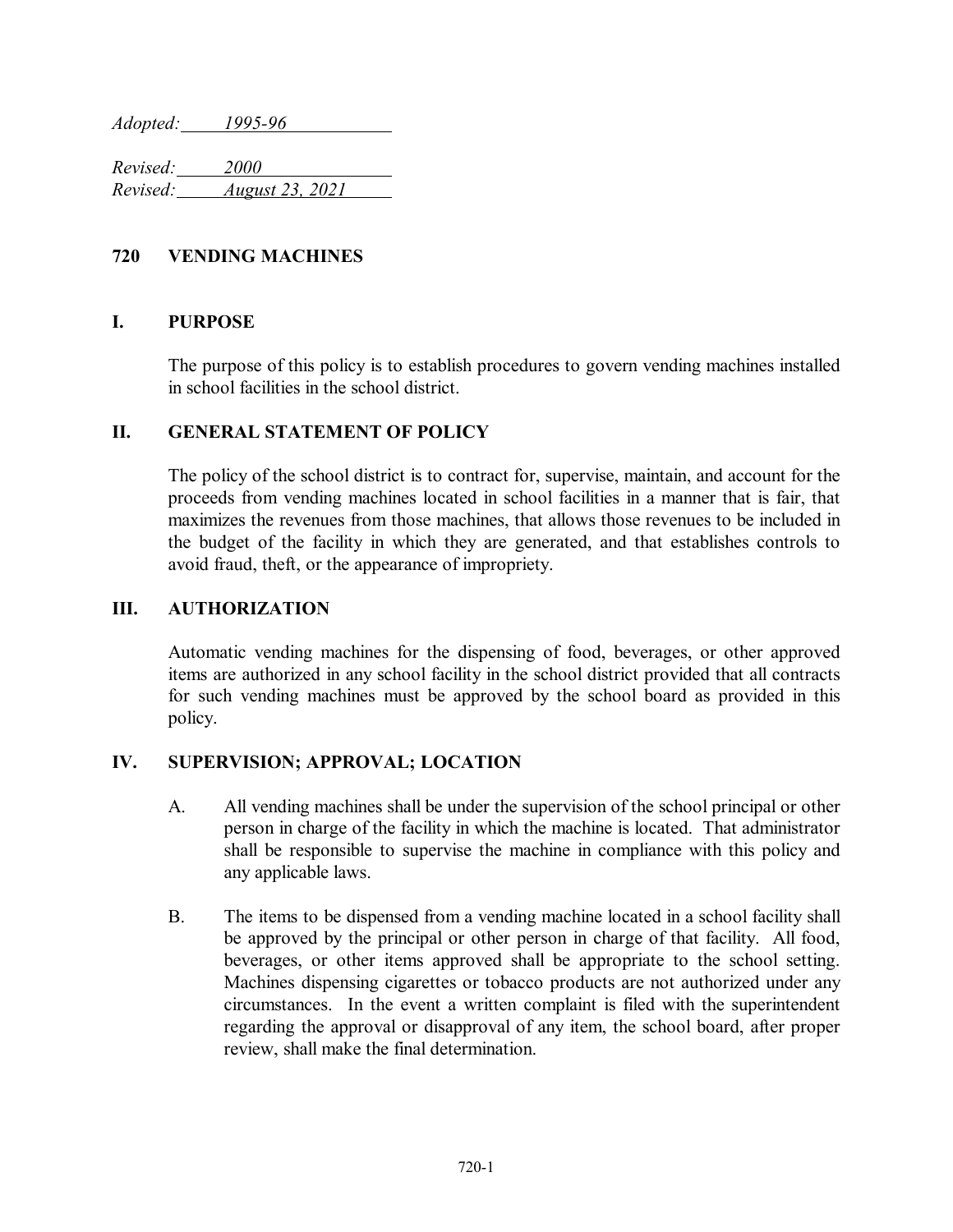*Adopted: 1995-96*

*Revised: 2000 Revised: August 23, 2021*

### **720 VENDING MACHINES**

#### **I. PURPOSE**

The purpose of this policy is to establish procedures to govern vending machines installed in school facilities in the school district.

#### **II. GENERAL STATEMENT OF POLICY**

The policy of the school district is to contract for, supervise, maintain, and account for the proceeds from vending machines located in school facilities in a manner that is fair, that maximizes the revenues from those machines, that allows those revenues to be included in the budget of the facility in which they are generated, and that establishes controls to avoid fraud, theft, or the appearance of impropriety.

#### **III. AUTHORIZATION**

Automatic vending machines for the dispensing of food, beverages, or other approved items are authorized in any school facility in the school district provided that all contracts for such vending machines must be approved by the school board as provided in this policy.

#### **IV. SUPERVISION; APPROVAL; LOCATION**

- A. All vending machines shall be under the supervision of the school principal or other person in charge of the facility in which the machine is located. That administrator shall be responsible to supervise the machine in compliance with this policy and any applicable laws.
- B. The items to be dispensed from a vending machine located in a school facility shall be approved by the principal or other person in charge of that facility. All food, beverages, or other items approved shall be appropriate to the school setting. Machines dispensing cigarettes or tobacco products are not authorized under any circumstances. In the event a written complaint is filed with the superintendent regarding the approval or disapproval of any item, the school board, after proper review, shall make the final determination.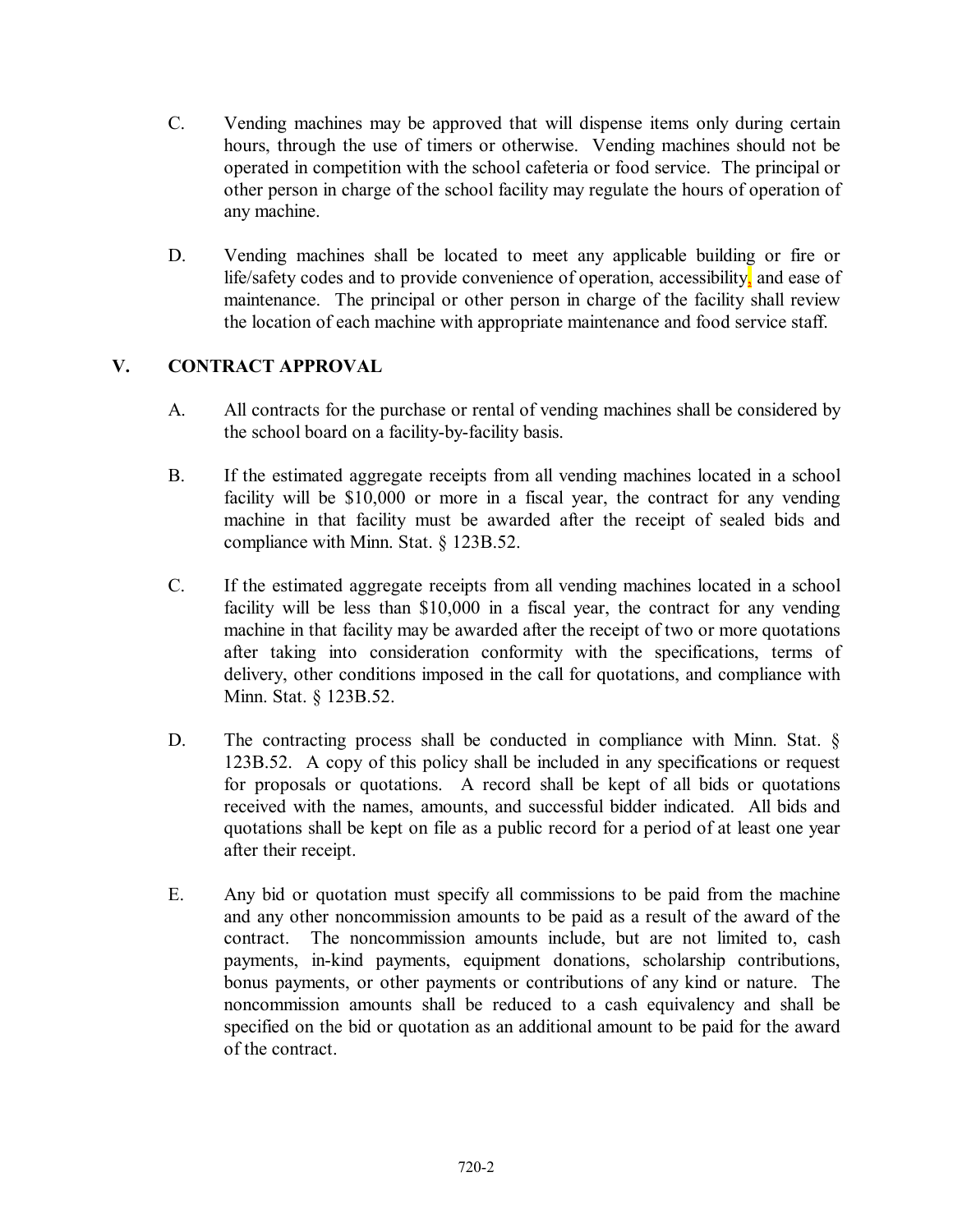- C. Vending machines may be approved that will dispense items only during certain hours, through the use of timers or otherwise. Vending machines should not be operated in competition with the school cafeteria or food service. The principal or other person in charge of the school facility may regulate the hours of operation of any machine.
- D. Vending machines shall be located to meet any applicable building or fire or life/safety codes and to provide convenience of operation, accessibility, and ease of maintenance. The principal or other person in charge of the facility shall review the location of each machine with appropriate maintenance and food service staff.

## **V. CONTRACT APPROVAL**

- A. All contracts for the purchase or rental of vending machines shall be considered by the school board on a facility-by-facility basis.
- B. If the estimated aggregate receipts from all vending machines located in a school facility will be \$10,000 or more in a fiscal year, the contract for any vending machine in that facility must be awarded after the receipt of sealed bids and compliance with Minn. Stat. § 123B.52.
- C. If the estimated aggregate receipts from all vending machines located in a school facility will be less than \$10,000 in a fiscal year, the contract for any vending machine in that facility may be awarded after the receipt of two or more quotations after taking into consideration conformity with the specifications, terms of delivery, other conditions imposed in the call for quotations, and compliance with Minn. Stat. § 123B.52.
- D. The contracting process shall be conducted in compliance with Minn. Stat. § 123B.52. A copy of this policy shall be included in any specifications or request for proposals or quotations. A record shall be kept of all bids or quotations received with the names, amounts, and successful bidder indicated. All bids and quotations shall be kept on file as a public record for a period of at least one year after their receipt.
- E. Any bid or quotation must specify all commissions to be paid from the machine and any other noncommission amounts to be paid as a result of the award of the contract. The noncommission amounts include, but are not limited to, cash payments, in-kind payments, equipment donations, scholarship contributions, bonus payments, or other payments or contributions of any kind or nature. The noncommission amounts shall be reduced to a cash equivalency and shall be specified on the bid or quotation as an additional amount to be paid for the award of the contract.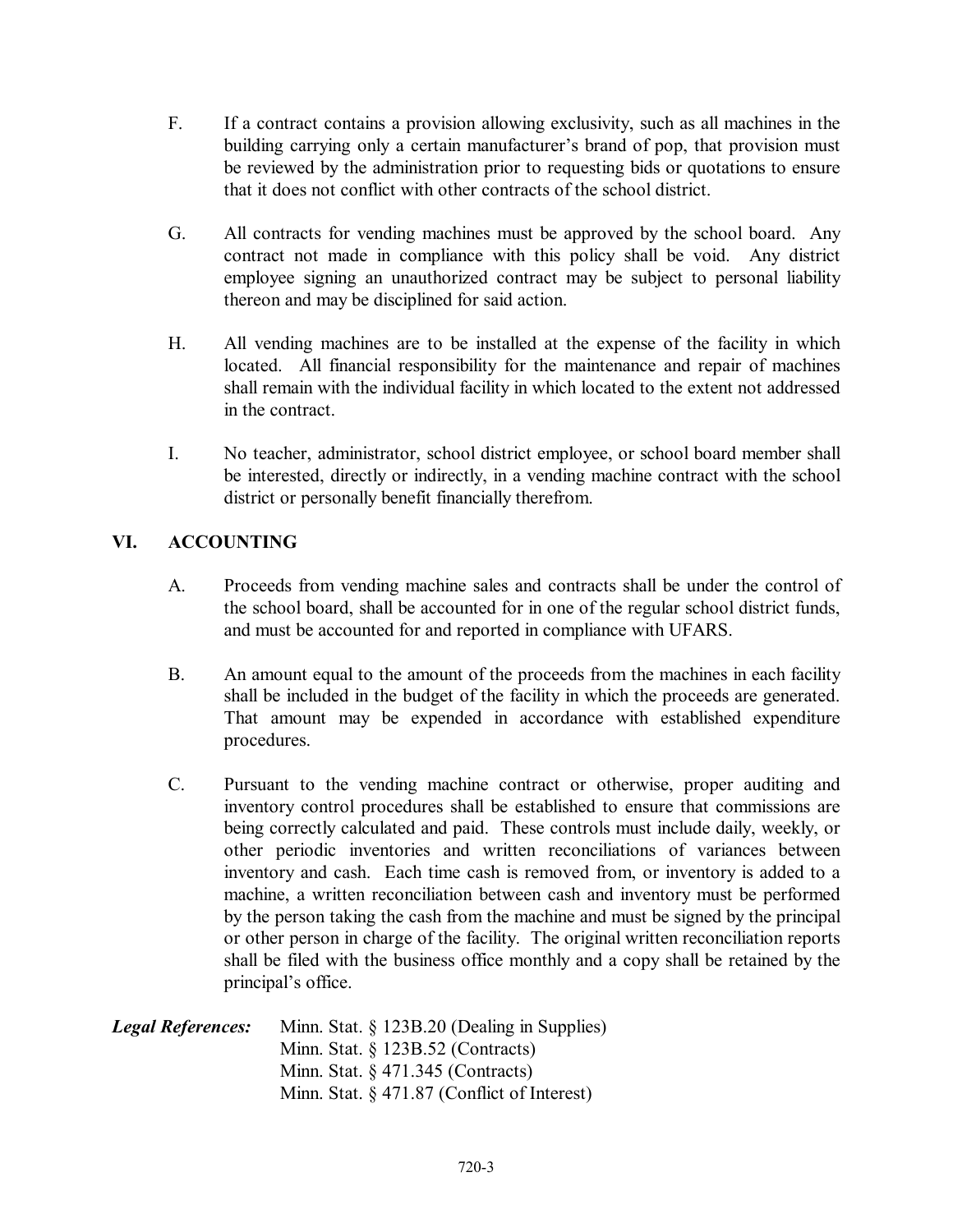- F. If a contract contains a provision allowing exclusivity, such as all machines in the building carrying only a certain manufacturer's brand of pop, that provision must be reviewed by the administration prior to requesting bids or quotations to ensure that it does not conflict with other contracts of the school district.
- G. All contracts for vending machines must be approved by the school board. Any contract not made in compliance with this policy shall be void. Any district employee signing an unauthorized contract may be subject to personal liability thereon and may be disciplined for said action.
- H. All vending machines are to be installed at the expense of the facility in which located. All financial responsibility for the maintenance and repair of machines shall remain with the individual facility in which located to the extent not addressed in the contract.
- I. No teacher, administrator, school district employee, or school board member shall be interested, directly or indirectly, in a vending machine contract with the school district or personally benefit financially therefrom.

# **VI. ACCOUNTING**

- A. Proceeds from vending machine sales and contracts shall be under the control of the school board, shall be accounted for in one of the regular school district funds, and must be accounted for and reported in compliance with UFARS.
- B. An amount equal to the amount of the proceeds from the machines in each facility shall be included in the budget of the facility in which the proceeds are generated. That amount may be expended in accordance with established expenditure procedures.
- C. Pursuant to the vending machine contract or otherwise, proper auditing and inventory control procedures shall be established to ensure that commissions are being correctly calculated and paid. These controls must include daily, weekly, or other periodic inventories and written reconciliations of variances between inventory and cash. Each time cash is removed from, or inventory is added to a machine, a written reconciliation between cash and inventory must be performed by the person taking the cash from the machine and must be signed by the principal or other person in charge of the facility. The original written reconciliation reports shall be filed with the business office monthly and a copy shall be retained by the principal's office.

| <b>Legal References:</b> | Minn. Stat. § 123B.20 (Dealing in Supplies)    |
|--------------------------|------------------------------------------------|
|                          | Minn. Stat. $\S$ 123B.52 (Contracts)           |
|                          | Minn. Stat. $\frac{6}{7}$ 471.345 (Contracts)  |
|                          | Minn. Stat. $\S$ 471.87 (Conflict of Interest) |